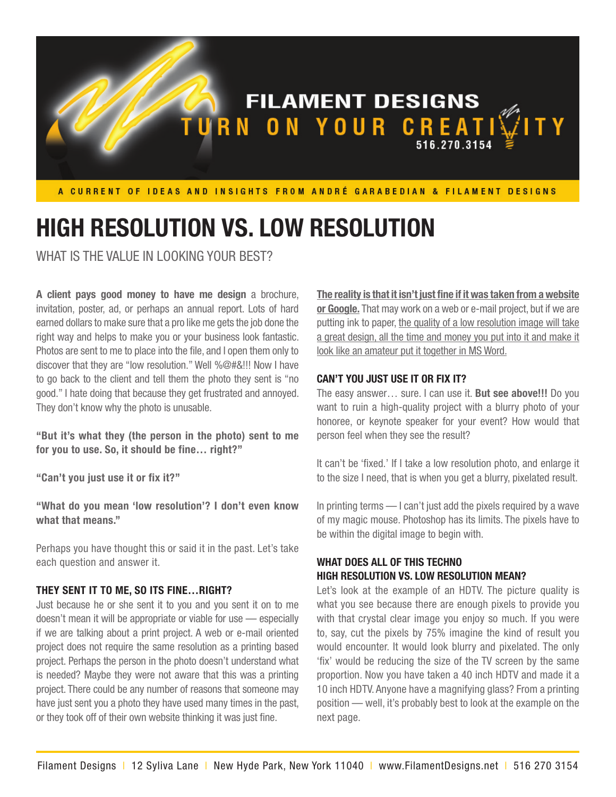

# **HIGH RESOLUTION VS. LOW RESOLUTION**

WHAT IS THE VALUE IN LOOKING YOUR BEST?

**A client pays good money to have me design** a brochure, invitation, poster, ad, or perhaps an annual report. Lots of hard earned dollars to make sure that a pro like me gets the job done the right way and helps to make you or your business look fantastic. Photos are sent to me to place into the file, and I open them only to discover that they are "low resolution." Well %@#&!!! Now I have to go back to the client and tell them the photo they sent is "no good." I hate doing that because they get frustrated and annoyed. They don't know why the photo is unusable.

**"But it's what they (the person in the photo) sent to me for you to use. So, it should be fine… right?"**

**"Can't you just use it or fix it?"**

**"What do you mean 'low resolution'? I don't even know what that means."**

Perhaps you have thought this or said it in the past. Let's take each question and answer it.

### **THEY SENT IT TO ME, SO ITS FINE…RIGHT?**

Just because he or she sent it to you and you sent it on to me doesn't mean it will be appropriate or viable for use — especially if we are talking about a print project. A web or e-mail oriented project does not require the same resolution as a printing based project. Perhaps the person in the photo doesn't understand what is needed? Maybe they were not aware that this was a printing project. There could be any number of reasons that someone may have just sent you a photo they have used many times in the past, or they took off of their own website thinking it was just fine.

**The reality is that it isn't just fine if it was taken from a website or Google.** That may work on a web or e-mail project, but if we are putting ink to paper, the quality of a low resolution image will take a great design, all the time and money you put into it and make it look like an amateur put it together in MS Word.

### **CAN'T YOU JUST USE IT OR FIX IT?**

The easy answer… sure. I can use it. **But see above!!!** Do you want to ruin a high-quality project with a blurry photo of your honoree, or keynote speaker for your event? How would that person feel when they see the result?

It can't be 'fixed.' If I take a low resolution photo, and enlarge it to the size I need, that is when you get a blurry, pixelated result.

In printing terms — I can't just add the pixels required by a wave of my magic mouse. Photoshop has its limits. The pixels have to be within the digital image to begin with.

# **WHAT DOES ALL OF THIS TECHNO HIGH RESOLUTION VS. LOW RESOLUTION MEAN?**

Let's look at the example of an HDTV. The picture quality is what you see because there are enough pixels to provide you with that crystal clear image you enjoy so much. If you were to, say, cut the pixels by 75% imagine the kind of result you would encounter. It would look blurry and pixelated. The only 'fix' would be reducing the size of the TV screen by the same proportion. Now you have taken a 40 inch HDTV and made it a 10 inch HDTV. Anyone have a magnifying glass? From a printing position — well, it's probably best to look at the example on the next page.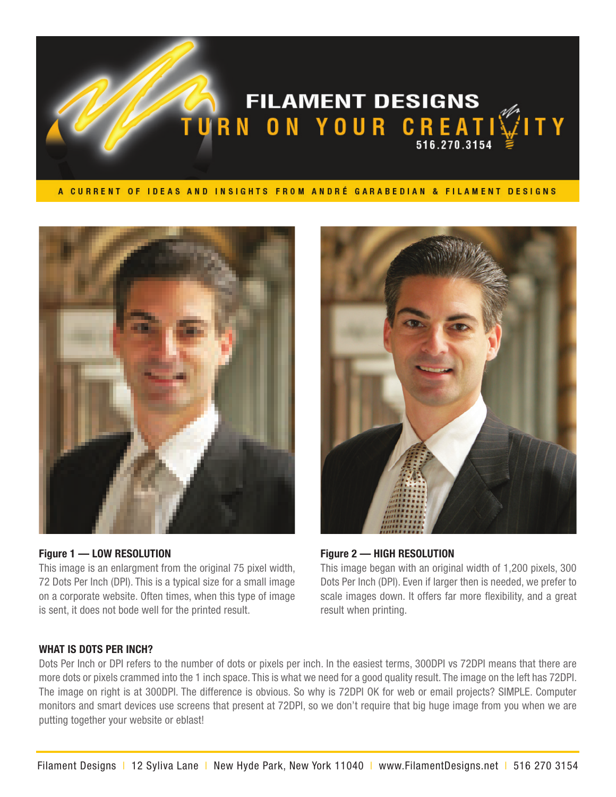



## **Figure 1 — LOW RESOLUTION**

This image is an enlargment from the original 75 pixel width, 72 Dots Per Inch (DPI). This is a typical size for a small image on a corporate website. Often times, when this type of image is sent, it does not bode well for the printed result.



**Figure 2 — HIGH RESOLUTION**

This image began with an original width of 1,200 pixels, 300 Dots Per Inch (DPI). Even if larger then is needed, we prefer to scale images down. It offers far more flexibility, and a great result when printing.

# **WHAT IS DOTS PER INCH?**

Dots Per Inch or DPI refers to the number of dots or pixels per inch. In the easiest terms, 300DPI vs 72DPI means that there are more dots or pixels crammed into the 1 inch space. This is what we need for a good quality result. The image on the left has 72DPI. The image on right is at 300DPI. The difference is obvious. So why is 72DPI OK for web or email projects? SIMPLE. Computer monitors and smart devices use screens that present at 72DPI, so we don't require that big huge image from you when we are putting together your website or eblast!